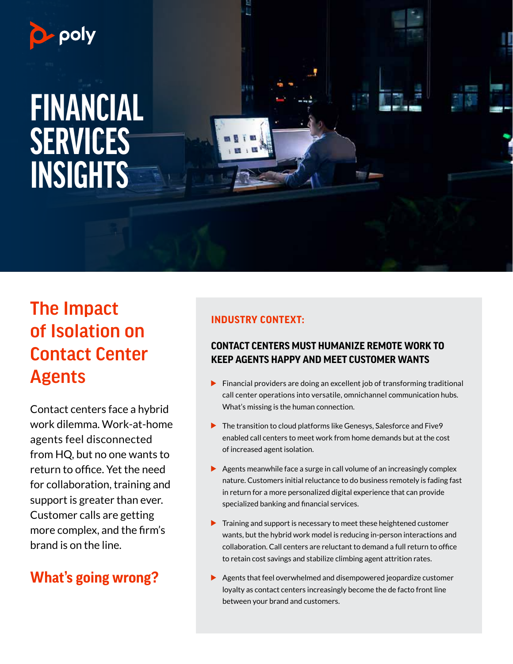

## The Impact of Isolation on Contact Center Agents

Contact centers face a hybrid work dilemma. Work-at-home agents feel disconnected from HQ, but no one wants to return to office. Yet the need for collaboration, training and support is greater than ever. Customer calls are getting more complex, and the firm's brand is on the line.

### **What's going wrong?**

#### **INDUSTRY CONTEXT:**

#### **CONTACT CENTERS MUST HUMANIZE REMOTE WORK TO KEEP AGENTS HAPPY AND MEET CUSTOMER WANTS**

- Financial providers are doing an excellent job of transforming traditional call center operations into versatile, omnichannel communication hubs. What's missing is the human connection.
- ▶ The transition to cloud platforms like Genesys, Salesforce and Five 9 enabled call centers to meet work from home demands but at the cost of increased agent isolation.
- $\triangleright$  Agents meanwhile face a surge in call volume of an increasingly complex nature. Customers initial reluctance to do business remotely is fading fast in return for a more personalized digital experience that can provide specialized banking and financial services.
- $\blacktriangleright$  Training and support is necessary to meet these heightened customer wants, but the hybrid work model is reducing in-person interactions and collaboration. Call centers are reluctant to demand a full return to office to retain cost savings and stabilize climbing agent attrition rates.
- Agents that feel overwhelmed and disempowered jeopardize customer loyalty as contact centers increasingly become the de facto front line between your brand and customers.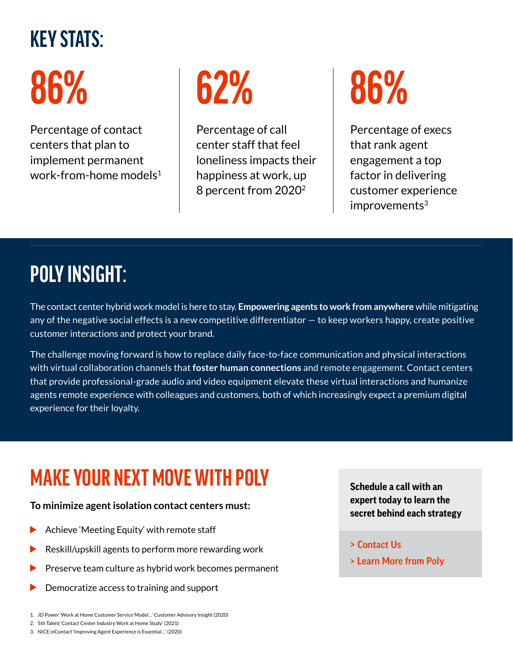## **KEY STATS:**

# **86%**

Percentage of contact centers that plan to implement permanent work-from-home models<sup>1</sup>



Percentage of call center staff that feel loneliness impacts their happiness at work, up 8 percent from 20202

# **86%**

Percentage of execs that rank agent engagement a top factor in delivering customer experience improvements<sup>3</sup>

## **POLY INSIGHT:**

The contact center hybrid work model is here to stay. **Empowering agents to work from anywhere** while mitigating any of the negative social effects is a new competitive differentiator — to keep workers happy, create positive customer interactions and protect your brand.

The challenge moving forward is how to replace daily face-to-face communication and physical interactions with virtual collaboration channels that **foster human connections** and remote engagement. Contact centers that provide professional-grade audio and video equipment elevate these virtual interactions and humanize agents remote experience with colleagues and customers, both of which increasingly expect a premium digital experience for their loyalty.

## **MAKE YOUR NEXT MOVE WITH POLY**

#### **To minimize agent isolation contact centers must:**

- Achieve 'Meeting Equity' with remote staff
- Reskill/upskill agents to perform more rewarding work
- Preserve team culture as hybrid work becomes permanent
- Democratize access to training and support
- 1. JD Power 'Work at Home Customer Service Model…' Customer Advisory Insight (2020)
- 2. 5th Talent 'Contact Center Industry Work at Home Study' (2021)
- 3. NICE inContact 'Improving Agent Experience is Essential…' (2020)

**Schedule a call with an expert today to learn the secret behind each strategy**

- [> Contact Us](https://www.poly.com/us/en/company/contact/sales)
- [> Learn More from Poly](https://www.poly.com/us/en/solutions/industry/financial-services)